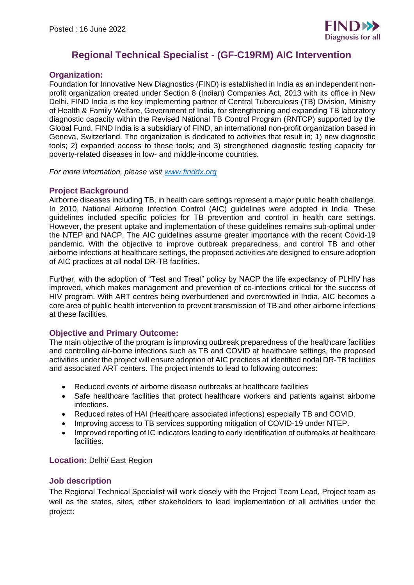

# **Regional Technical Specialist - (GF-C19RM) AIC Intervention**

### **Organization:**

Foundation for Innovative New Diagnostics (FIND) is established in India as an independent nonprofit organization created under Section 8 (Indian) Companies Act, 2013 with its office in New Delhi. FIND India is the key implementing partner of Central Tuberculosis (TB) Division, Ministry of Health & Family Welfare, Government of India, for strengthening and expanding TB laboratory diagnostic capacity within the Revised National TB Control Program (RNTCP) supported by the Global Fund. FIND India is a subsidiary of FIND, an international non-profit organization based in Geneva, Switzerland. The organization is dedicated to activities that result in; 1) new diagnostic tools; 2) expanded access to these tools; and 3) strengthened diagnostic testing capacity for poverty-related diseases in low- and middle-income countries.

*For more information, please visit [www.finddx.org](http://www.finddx.org/)*

## **Project Background**

Airborne diseases including TB, in health care settings represent a major public health challenge. In 2010, National Airborne Infection Control (AIC) guidelines were adopted in India. These guidelines included specific policies for TB prevention and control in health care settings. However, the present uptake and implementation of these guidelines remains sub-optimal under the NTEP and NACP. The AIC guidelines assume greater importance with the recent Covid-19 pandemic. With the objective to improve outbreak preparedness, and control TB and other airborne infections at healthcare settings, the proposed activities are designed to ensure adoption of AIC practices at all nodal DR-TB facilities.

Further, with the adoption of "Test and Treat" policy by NACP the life expectancy of PLHIV has improved, which makes management and prevention of co-infections critical for the success of HIV program. With ART centres being overburdened and overcrowded in India, AIC becomes a core area of public health intervention to prevent transmission of TB and other airborne infections at these facilities.

## **Objective and Primary Outcome:**

The main objective of the program is improving outbreak preparedness of the healthcare facilities and controlling air-borne infections such as TB and COVID at healthcare settings, the proposed activities under the project will ensure adoption of AIC practices at identified nodal DR-TB facilities and associated ART centers. The project intends to lead to following outcomes:

- Reduced events of airborne disease outbreaks at healthcare facilities
- Safe healthcare facilities that protect healthcare workers and patients against airborne infections.
- Reduced rates of HAI (Healthcare associated infections) especially TB and COVID.
- Improving access to TB services supporting mitigation of COVID-19 under NTEP.
- Improved reporting of IC indicators leading to early identification of outbreaks at healthcare facilities.

#### **Location:** Delhi/ East Region

#### **Job description**

The Regional Technical Specialist will work closely with the Project Team Lead, Project team as well as the states, sites, other stakeholders to lead implementation of all activities under the project: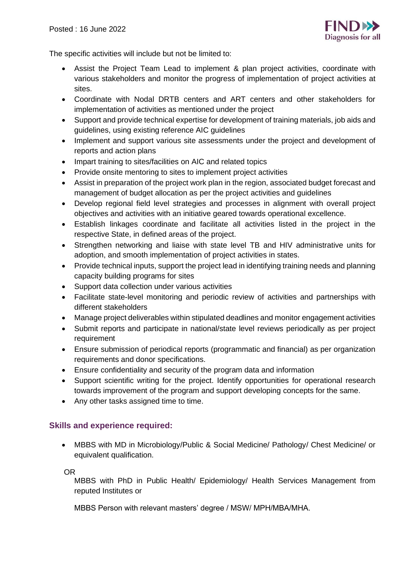

The specific activities will include but not be limited to:

- Assist the Project Team Lead to implement & plan project activities, coordinate with various stakeholders and monitor the progress of implementation of project activities at sites.
- Coordinate with Nodal DRTB centers and ART centers and other stakeholders for implementation of activities as mentioned under the project
- Support and provide technical expertise for development of training materials, job aids and guidelines, using existing reference AIC guidelines
- Implement and support various site assessments under the project and development of reports and action plans
- Impart training to sites/facilities on AIC and related topics
- Provide onsite mentoring to sites to implement project activities
- Assist in preparation of the project work plan in the region, associated budget forecast and management of budget allocation as per the project activities and guidelines
- Develop regional field level strategies and processes in alignment with overall project objectives and activities with an initiative geared towards operational excellence.
- Establish linkages coordinate and facilitate all activities listed in the project in the respective State, in defined areas of the project.
- Strengthen networking and liaise with state level TB and HIV administrative units for adoption, and smooth implementation of project activities in states.
- Provide technical inputs, support the project lead in identifying training needs and planning capacity building programs for sites
- Support data collection under various activities
- Facilitate state-level monitoring and periodic review of activities and partnerships with different stakeholders
- Manage project deliverables within stipulated deadlines and monitor engagement activities
- Submit reports and participate in national/state level reviews periodically as per project requirement
- Ensure submission of periodical reports (programmatic and financial) as per organization requirements and donor specifications.
- Ensure confidentiality and security of the program data and information
- Support scientific writing for the project. Identify opportunities for operational research towards improvement of the program and support developing concepts for the same.
- Any other tasks assigned time to time.

## **Skills and experience required:**

• MBBS with MD in Microbiology/Public & Social Medicine/ Pathology/ Chest Medicine/ or equivalent qualification.

OR

MBBS with PhD in Public Health/ Epidemiology/ Health Services Management from reputed Institutes or

MBBS Person with relevant masters' degree / MSW/ MPH/MBA/MHA.